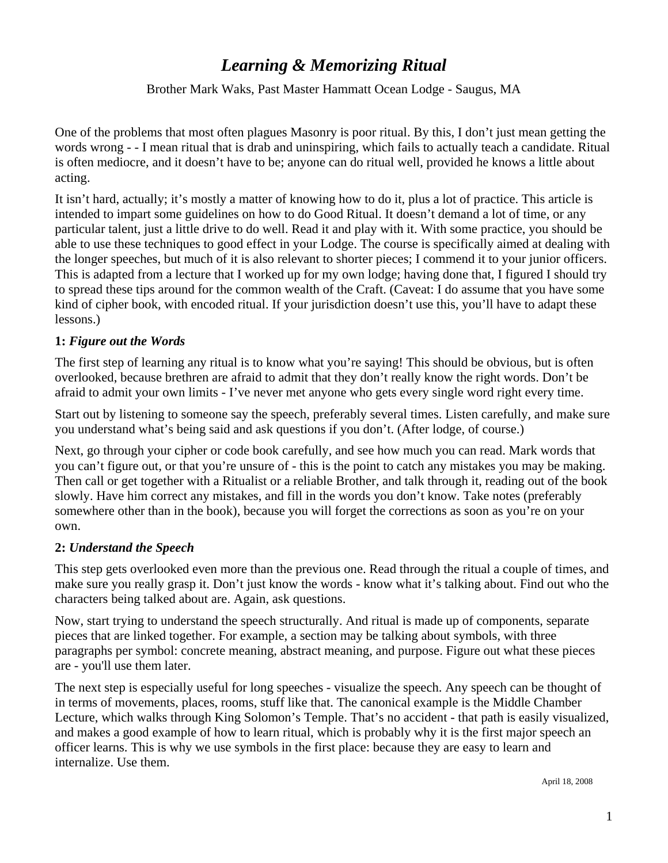# *Learning & Memorizing Ritual*

## Brother Mark Waks, Past Master Hammatt Ocean Lodge - Saugus, MA

One of the problems that most often plagues Masonry is poor ritual. By this, I don't just mean getting the words wrong - - I mean ritual that is drab and uninspiring, which fails to actually teach a candidate. Ritual is often mediocre, and it doesn't have to be; anyone can do ritual well, provided he knows a little about acting.

It isn't hard, actually; it's mostly a matter of knowing how to do it, plus a lot of practice. This article is intended to impart some guidelines on how to do Good Ritual. It doesn't demand a lot of time, or any particular talent, just a little drive to do well. Read it and play with it. With some practice, you should be able to use these techniques to good effect in your Lodge. The course is specifically aimed at dealing with the longer speeches, but much of it is also relevant to shorter pieces; I commend it to your junior officers. This is adapted from a lecture that I worked up for my own lodge; having done that, I figured I should try to spread these tips around for the common wealth of the Craft. (Caveat: I do assume that you have some kind of cipher book, with encoded ritual. If your jurisdiction doesn't use this, you'll have to adapt these lessons.)

## **1:** *Figure out the Words*

The first step of learning any ritual is to know what you're saying! This should be obvious, but is often overlooked, because brethren are afraid to admit that they don't really know the right words. Don't be afraid to admit your own limits - I've never met anyone who gets every single word right every time.

Start out by listening to someone say the speech, preferably several times. Listen carefully, and make sure you understand what's being said and ask questions if you don't. (After lodge, of course.)

Next, go through your cipher or code book carefully, and see how much you can read. Mark words that you can't figure out, or that you're unsure of - this is the point to catch any mistakes you may be making. Then call or get together with a Ritualist or a reliable Brother, and talk through it, reading out of the book slowly. Have him correct any mistakes, and fill in the words you don't know. Take notes (preferably somewhere other than in the book), because you will forget the corrections as soon as you're on your own.

#### **2:** *Understand the Speech*

This step gets overlooked even more than the previous one. Read through the ritual a couple of times, and make sure you really grasp it. Don't just know the words - know what it's talking about. Find out who the characters being talked about are. Again, ask questions.

Now, start trying to understand the speech structurally. And ritual is made up of components, separate pieces that are linked together. For example, a section may be talking about symbols, with three paragraphs per symbol: concrete meaning, abstract meaning, and purpose. Figure out what these pieces are - you'll use them later.

The next step is especially useful for long speeches - visualize the speech. Any speech can be thought of in terms of movements, places, rooms, stuff like that. The canonical example is the Middle Chamber Lecture, which walks through King Solomon's Temple. That's no accident - that path is easily visualized, and makes a good example of how to learn ritual, which is probably why it is the first major speech an officer learns. This is why we use symbols in the first place: because they are easy to learn and internalize. Use them.

April 18, 2008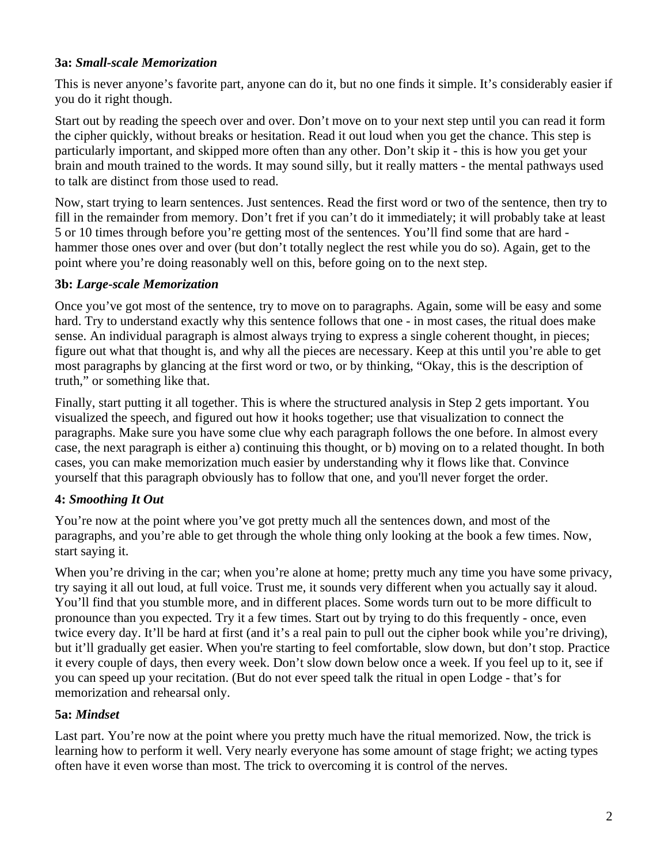#### **3a:** *Small-scale Memorization*

This is never anyone's favorite part, anyone can do it, but no one finds it simple. It's considerably easier if you do it right though.

Start out by reading the speech over and over. Don't move on to your next step until you can read it form the cipher quickly, without breaks or hesitation. Read it out loud when you get the chance. This step is particularly important, and skipped more often than any other. Don't skip it - this is how you get your brain and mouth trained to the words. It may sound silly, but it really matters - the mental pathways used to talk are distinct from those used to read.

Now, start trying to learn sentences. Just sentences. Read the first word or two of the sentence, then try to fill in the remainder from memory. Don't fret if you can't do it immediately; it will probably take at least 5 or 10 times through before you're getting most of the sentences. You'll find some that are hard hammer those ones over and over (but don't totally neglect the rest while you do so). Again, get to the point where you're doing reasonably well on this, before going on to the next step.

## **3b:** *Large-scale Memorization*

Once you've got most of the sentence, try to move on to paragraphs. Again, some will be easy and some hard. Try to understand exactly why this sentence follows that one - in most cases, the ritual does make sense. An individual paragraph is almost always trying to express a single coherent thought, in pieces; figure out what that thought is, and why all the pieces are necessary. Keep at this until you're able to get most paragraphs by glancing at the first word or two, or by thinking, "Okay, this is the description of truth," or something like that.

Finally, start putting it all together. This is where the structured analysis in Step 2 gets important. You visualized the speech, and figured out how it hooks together; use that visualization to connect the paragraphs. Make sure you have some clue why each paragraph follows the one before. In almost every case, the next paragraph is either a) continuing this thought, or b) moving on to a related thought. In both cases, you can make memorization much easier by understanding why it flows like that. Convince yourself that this paragraph obviously has to follow that one, and you'll never forget the order.

# **4:** *Smoothing It Out*

You're now at the point where you've got pretty much all the sentences down, and most of the paragraphs, and you're able to get through the whole thing only looking at the book a few times. Now, start saying it.

When you're driving in the car; when you're alone at home; pretty much any time you have some privacy, try saying it all out loud, at full voice. Trust me, it sounds very different when you actually say it aloud. You'll find that you stumble more, and in different places. Some words turn out to be more difficult to pronounce than you expected. Try it a few times. Start out by trying to do this frequently - once, even twice every day. It'll be hard at first (and it's a real pain to pull out the cipher book while you're driving), but it'll gradually get easier. When you're starting to feel comfortable, slow down, but don't stop. Practice it every couple of days, then every week. Don't slow down below once a week. If you feel up to it, see if you can speed up your recitation. (But do not ever speed talk the ritual in open Lodge - that's for memorization and rehearsal only.

# **5a:** *Mindset*

Last part. You're now at the point where you pretty much have the ritual memorized. Now, the trick is learning how to perform it well. Very nearly everyone has some amount of stage fright; we acting types often have it even worse than most. The trick to overcoming it is control of the nerves.